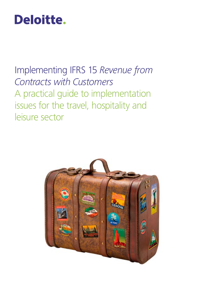# Deloitte.

Implementing IFRS 15 *Revenue from Contracts with Customers* A practical guide to implementation issues for the travel, hospitality and leisure sector

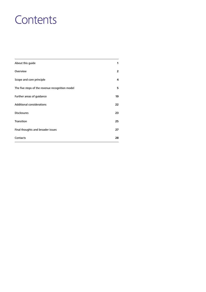## **Contents**

| About this guide                                | 1              |
|-------------------------------------------------|----------------|
| Overview                                        | $\overline{2}$ |
| Scope and core principle                        | 4              |
| The five steps of the revenue recognition model | 5              |
| Further areas of guidance                       | 19             |
| <b>Additional considerations</b>                | 22             |
| <b>Disclosures</b>                              | 23             |
| <b>Transition</b>                               | 25             |
| Final thoughts and broader issues               | 27             |
| Contacts                                        | 28             |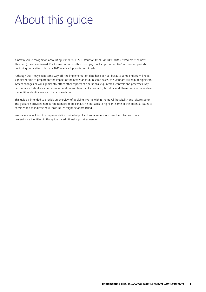## <span id="page-2-0"></span>About this guide

A new revenue recognition accounting standard, IFRS 15 *Revenue from Contracts with Customers* ('the new Standard'), has been issued. For those contracts within its scope, it will apply for entities' accounting periods beginning on or after 1 January 2017 (early adoption is permitted).

Although 2017 may seem some way off, the implementation date has been set because some entities will need significant time to prepare for the impact of the new Standard. In some cases, the Standard will require significant system changes or will significantly affect other aspects of operations (e.g. internal controls and processes, Key Performance Indicators, compensation and bonus plans, bank covenants, tax etc.), and, therefore, it is imperative that entities identify any such impacts early on.

This guide is intended to provide an overview of applying IFRS 15 within the travel, hospitality and leisure sector. The guidance provided here is not intended to be exhaustive, but aims to highlight some of the potential issues to consider and to indicate how those issues might be approached.

We hope you will find this implementation guide helpful and encourage you to reach out to one of our professionals identified in this guide for additional support as needed.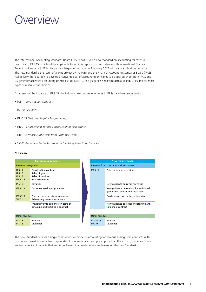## <span id="page-3-0"></span>Overview

The International Accounting Standards Board ('IASB') has issued a new Standard on accounting for revenue recognition, IFRS 15, which will be applicable for entities reporting in accordance with International Financial Reporting Standards ('IFRSs') for periods beginning on or after 1 January 2017 with early application permitted. The new Standard is the result of a joint project by the IASB and the Financial Accounting Standards Board ('FASB') (collectively the 'Boards') to develop a converged set of accounting principles to be applied under both IFRSs and US generally accepted accounting principles ('US GAAP'). The guidance is relevant across all industries and for most types of revenue transactions.

As a result of the issuance of IFRS 15, the following existing requirements in IFRSs have been superseded:

- IAS 11 *Construction Contracts;*
- IAS 18 *Revenue*;
- IFRIC 13 *Customer Loyalty Programmes*;
- IFRIC 15 *Agreements for the Construction of Real Estate;*
- IFRIC 18 *Transfers of Assets from Customers*; and
- SIC-31 *Revenue Barter Transactions Involving Advertising Services*.

## **At a glance**

| <b>Current requirements</b>                                        |                                                                                           |
|--------------------------------------------------------------------|-------------------------------------------------------------------------------------------|
| Revenue recognition                                                |                                                                                           |
| <b>IAS 11</b><br><b>IAS 18</b><br><b>IAS 18</b><br><b>IFRIC 15</b> | <b>Construction contracts</b><br>Sales of goods<br>Sales of services<br>Real estate sales |
| <b>IAS 18</b>                                                      | Royalties                                                                                 |
| <b>IFRIC 13</b>                                                    | <b>Customer loyalty programmes</b>                                                        |
| <b>IFRIC 18</b><br><b>SIC 31</b>                                   | Transfers of assets from customers<br>Advertising barter transactions                     |
|                                                                    | Previously little guidance on costs of<br>obtaining and fulfilling a contract             |
|                                                                    |                                                                                           |
| Other revenue                                                      |                                                                                           |
| <b>IAS 18</b><br><b>IAS 18</b>                                     | Interest<br><b>Dividends</b>                                                              |

The new Standard outlines a single comprehensive model of accounting for revenue arising from contracts with customers. Based around a five-step model, it is more detailed and prescriptive than the existing guidance. There are two significant impacts that entities will need to consider when implementing the new Standard.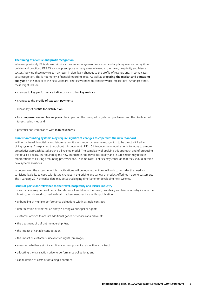## **The timing of revenue and profit recognition**

Whereas previously IFRSs allowed significant room for judgement in devising and applying revenue recognition policies and practices, IFRS 15 is more prescriptive in many areas relevant to the travel, hospitality and leisure sector. Applying these new rules may result in significant changes to the profile of revenue and, in some cases, cost recognition. This is not merely a financial reporting issue. As well as preparing the market and educating analysts on the impact of the new Standard, entities will need to consider wider implications. Amongst others, these might include:

- changes to key performance indicators and other key metrics;
- changes to the profile of tax cash payments;
- availability of profits for distribution;
- for compensation and bonus plans, the impact on the timing of targets being achieved and the likelihood of targets being met; and
- potential non-compliance with loan covenants.

## **Current accounting systems may require significant changes to cope with the new Standard**

Within the travel, hospitality and leisure sector, it is common for revenue recognition to be directly linked to billing systems. As explained throughout this document, IFRS 15 introduces new requirements to move to a more prescriptive approach based around a five-step model. The complexity of applying this approach and of producing the detailed disclosures required by the new Standard in the travel, hospitality and leisure sector may require modifications to existing accounting processes and, in some cases, entities may conclude that they should develop new systems solutions.

In determining the extent to which modifications will be required, entities will wish to consider the need for sufficient flexibility to cope with future changes in the pricing and variety of product offerings made to customers. The 1 January 2017 effective date may set a challenging timeframe for developing new systems.

## **Issues of particular relevance to the travel, hospitality and leisure industry**

Issues that are likely to be of particular relevance to entities in the travel, hospitality and leisure industry include the following, which are discussed in detail in subsequent sections of this publication:

- unbundling of multiple performance obligations within a single contract;
- determination of whether an entity is acting as principal or agent;
- customer options to acquire additional goods or services at a discount;
- the treatment of upfront membership fees;
- the impact of variable consideration;
- the impact of customers' unexercised rights (breakage);
- assessing whether a significant financing component exists within a contract:
- allocating the transaction price to performance obligations; and
- capitalisation of costs of obtaining a contract.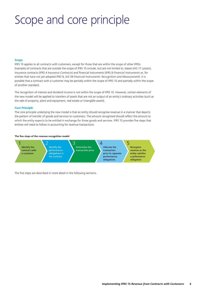## <span id="page-5-0"></span>Scope and core principle

## **Scope**

IFRS 15 applies to all contracts with customers, except for those that are within the scope of other IFRSs. Examples of contracts that are outside the scope of IFRS 15 include, but are not limited to, leases (IAS 17 *Leases*), insurance contracts (IFRS 4 I*nsurance Contracts*) and financial instruments (IFRS 9 *Financial Instruments* or, for entities that have not yet adopted IFRS 9, IAS 39 *Financial Instruments: Recognition and Measurement*). It is possible that a contract with a customer may be partially within the scope of IFRS 15 and partially within the scope of another standard.

The recognition of interest and dividend income is not within the scope of IFRS 15. However, certain elements of the new model will be applied to transfers of assets that are not an output of an entity's ordinary activities (such as the sale of property, plant and equipment, real estate or intangible assets).

## **Core Principle**

The core principle underlying the new model is that an entity should recognise revenue in a manner that depicts the pattern of transfer of goods and services to customers. The amount recognised should reflect the amount to which the entity expects to be entitled in exchange for those goods and services. IFRS 15 provides five steps that entities will need to follow in accounting for revenue transactions.

#### **The five steps of the revenue recognition model**



The five steps are described in more detail in the following sections.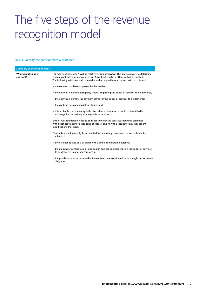# <span id="page-6-0"></span>The five steps of the revenue recognition model

### **Step 1. Identify the contract with a customer**

| <b>Summary of the requirements</b> |                                                                                                                                                                                                                                                                                     |
|------------------------------------|-------------------------------------------------------------------------------------------------------------------------------------------------------------------------------------------------------------------------------------------------------------------------------------|
| What qualifies as a<br>contract?   | For many entities, Step 1 will be relatively straightforward. The key points are to determine<br>when a contract comes into existence. A contract can be written, verbal, or implied.<br>The following criteria are all required in order to qualify as a contract with a customer: |
|                                    | • the contract has been approved by the parties;                                                                                                                                                                                                                                    |
|                                    | • the entity can identify each party's rights regarding the goods or services to be delivered;                                                                                                                                                                                      |
|                                    | • the entity can identify the payment terms for the goods or services to be delivered;                                                                                                                                                                                              |
|                                    | • the contract has commercial substance; and                                                                                                                                                                                                                                        |
|                                    | • it is probable that the entity will collect the consideration to which it is entitled in<br>exchange for the delivery of the goods or services.                                                                                                                                   |
|                                    | Entities will additionally need to consider whether the contract should be combined<br>with other contracts for accounting purposes, and how to account for any subsequent<br>modifications that arise.                                                                             |
|                                    | Contracts should generally be accounted for separately. However, contracts should be<br>combined if:                                                                                                                                                                                |
|                                    | • they are negotiated as a package with a single commercial objective;                                                                                                                                                                                                              |
|                                    | • the amount of consideration to be paid in one contract depends on the goods or services<br>to be delivered in another contract: or                                                                                                                                                |
|                                    | • the goods or services promised in the contracts are considered to be a single performance<br>obligation.                                                                                                                                                                          |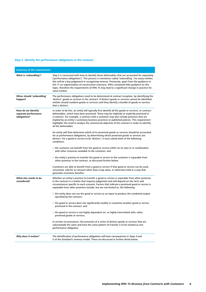## **Step 2. Identify the performance obligations in the contract**

| <b>Summary of the requirements</b>                         |                                                                                                                                                                                                                                                                                                                                                                                                                                                                                                                                                                                                                                                                                                                                                                                                   |
|------------------------------------------------------------|---------------------------------------------------------------------------------------------------------------------------------------------------------------------------------------------------------------------------------------------------------------------------------------------------------------------------------------------------------------------------------------------------------------------------------------------------------------------------------------------------------------------------------------------------------------------------------------------------------------------------------------------------------------------------------------------------------------------------------------------------------------------------------------------------|
| What is 'unbundling'?                                      | Step 2 is concerned with how to identify those deliverables that are accounted for separately<br>('performance obligations'). This process is sometimes called 'unbundling'. For many entities,<br>this will be a key judgement in recognising revenue. Previously, apart from the quidance in<br>IAS 11 on segmentation of construction contracts, IFRSs contained little guidance on this<br>topic; therefore the requirements of IFRS 15 may lead to a significant change in practice for<br>some entities.                                                                                                                                                                                                                                                                                    |
| When should 'unbundling'<br>happen?                        | The performance obligations need to be determined at contract inception, by identifying the<br>'distinct' goods or services in the contract. If distinct goods or services cannot be identified,<br>entities should combine goods or services until they identify a bundle of goods or services<br>that is distinct.                                                                                                                                                                                                                                                                                                                                                                                                                                                                              |
| How do we identify<br>separate performance<br>obligations? | In order to do this, an entity will typically first identify all the goods or services, or contract<br>deliverables, which have been promised. These may be implicitly or explicitly promised in<br>a contract. For example, a contract with a customer may also include promises that are<br>implied by an entity's customary business practices or published policies. This requirement<br>highlights the need to analyse the commercial objective of the contract in order to identify<br>all the deliverables.<br>An entity will then determine which of its promised goods or services should be accounted<br>for as performance obligations, by determining which promised goods or services are<br>distinct. For a good or service to be 'distinct', it must satisfy both of the following |
|                                                            | conditions:<br>• the customer can benefit from the good or service either on its own or in combination<br>with other resources available to the customer; and                                                                                                                                                                                                                                                                                                                                                                                                                                                                                                                                                                                                                                     |
|                                                            | • the entity's promise to transfer the good or service to the customer is separable from<br>other promises in the contract, as discussed further below.                                                                                                                                                                                                                                                                                                                                                                                                                                                                                                                                                                                                                                           |
|                                                            | Customers are able to benefit from a good or service if that good or service can be used,<br>consumed, sold for an amount other than scrap value, or otherwise held in a way that<br>generates economic benefits.                                                                                                                                                                                                                                                                                                                                                                                                                                                                                                                                                                                 |
| What else needs to be<br>considered?                       | Whether an entity's promise to transfer a good or service is separable from other promises<br>in the contract is a matter that requires judgement and will depend on the facts and<br>circumstances specific to each scenario. Factors that indicate a promised good or service is<br>separable from other promises include, but are not limited to, the following:                                                                                                                                                                                                                                                                                                                                                                                                                               |
|                                                            | • the entity does not use the good or service as an input to produce the combined output<br>specified by the contract;                                                                                                                                                                                                                                                                                                                                                                                                                                                                                                                                                                                                                                                                            |
|                                                            | • the good or service does not significantly modify or customise another good or service<br>promised in the contract; and                                                                                                                                                                                                                                                                                                                                                                                                                                                                                                                                                                                                                                                                         |
|                                                            | • the good or service is not highly dependent on, or highly interrelated with, other<br>promised goods or services.                                                                                                                                                                                                                                                                                                                                                                                                                                                                                                                                                                                                                                                                               |
|                                                            | In certain circumstances, the provision of a series of distinct goods or services that are<br>substantially the same and have the same pattern of transfer is to be treated as one<br>performance obligation.                                                                                                                                                                                                                                                                                                                                                                                                                                                                                                                                                                                     |
| Why does it matter?                                        | The identification of performance obligations will have consequences in Steps 4 and<br>5 of the Standard's revenue model. These are discussed in further detail below.                                                                                                                                                                                                                                                                                                                                                                                                                                                                                                                                                                                                                            |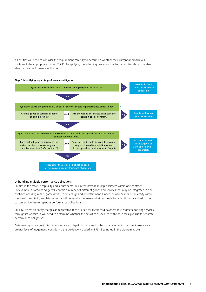All entities will need to consider this requirement carefully to determine whether their current approach will continue to be appropriate under IFRS 15. By applying the following process to contracts, entities should be able to identify their performance obligations.



## Unbundling multiple performance obligations

Entities in the travel, hospitality and leisure sector will often provide multiple services within one contract. For example, a safari package will contain a number of different goods and services that may be integrated in one contract including meals, game drives, room charge and entertainment. Under the new Standard, an entity within the travel, hospitality and leisure sector will be required to assess whether the deliverables it has promised to the customer give rise to separate performance obligations.

Equally, where an entity charges administrative fees or a fee for credit card payment to customers booking services through its website, it will need to determine whether the activities associated with these fees give rise to separate performance obligations

Determining what constitutes a performance obligation is an area in which management may have to exercise a greater level of judgement, considering the guidance included in IFRS 15 as noted in the diagram above.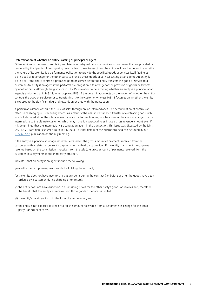### Determination of whether an entity is acting as principal or agent

Often, entities in the travel, hospitality and leisure industry sell goods or services to customers that are provided or rendered by third parties. In recognising revenue from these transactions, the entity will need to determine whether the nature of its promise is a performance obligation to provide the specified goods or services itself (acting as a principal) or to arrange for the other party to provide those goods or services (acting as an agent). An entity is a principal if the entity controls a promised good or service before the entity transfers the good or service to a customer. An entity is an agent if the performance obligation is to arrange for the provision of goods or services by another party. Although the guidance in IFRS 15 in relation to determining whether an entity is a principal or an agent is similar to that in IAS 18, when applying IFRS 15 the determination rests on the notion of whether the entity controls the good or service prior to transferring it to the customer whereas IAS 18 focusses on whether the entity is exposed to the significant risks and rewards associated with the transaction.

A particular instance of this is the issue of sales through online intermediaries. The determination of control can often be challenging in such arrangements as a result of the near-instantaneous transfer of electronic goods such as e-tickets. In addition, the ultimate vendor in such a transaction may not be aware of the amount charged by the intermediary to the ultimate customer, which may make it impractical to estimate a gross revenue amount even if it is determined that the intermediary is acting as an agent in the transaction. This issue was discussed by the joint IASB-FASB Transition Resource Group in July 2014 – further details of the discussions held can be found in our [IFRS in Focus](http://www.iasplus.com/en/publications/global/ifrs-in-focus/2014/trg-july) publication on the July meeting.

If the entity is a principal it recognises revenue based on the gross amount of payments received from the customer, with a related expense for payments to the third party provider. If the entity is an agent it recognises revenue based on the commission it receives from the sale (the gross amount of payments received from the customer, less payments to the third party provider).

Indicators that an entity is an agent include the following:

(a) another party is primarily responsible for fulfilling the contract;

- (b) the entity does not have inventory risk at any point during the contract (i.e. before or after the goods have been ordered by a customer, during shipping or on return);
- (c) the entity does not have discretion in establishing prices for the other party's goods or services and, therefore, the benefit that the entity can receive from those goods or services is limited;
- (d) the entity's consideration is in the form of a commission; and
- (e) the entity is not exposed to credit risk for the amount receivable from a customer in exchange for the other party's goods or services.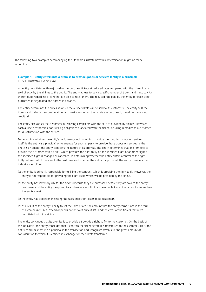The following two examples accompanying the Standard illustrate how this determination might be made in practice.

**Example 1 – Entity enters into a promise to provide goods or services (entity is a principal)** [IFRS 15 Illustrative Example 47]

An entity negotiates with major airlines to purchase tickets at reduced rates compared with the price of tickets sold directly by the airlines to the public. The entity agrees to buy a specific number of tickets and must pay for those tickets regardless of whether it is able to resell them. The reduced rate paid by the entity for each ticket purchased is negotiated and agreed in advance.

The entity determines the prices at which the airline tickets will be sold to its customers. The entity sells the tickets and collects the consideration from customers when the tickets are purchased; therefore there is no credit risk.

The entity also assists the customers in resolving complaints with the service provided by airlines. However, each airline is responsible for fulfilling obligations associated with the ticket, including remedies to a customer for dissatisfaction with the service.

To determine whether the entity's performance obligation is to provide the specified goods or services itself (ie the entity is a principal) or to arrange for another party to provide those goods or services (ie the entity is an agent), the entity considers the nature of its promise. The entity determines that its promise is to provide the customer with a ticket, which provides the right to fly on the specified flight or another flight if the specified flight is changed or cancelled. In determining whether the entity obtains control of the right to fly before control transfers to the customer and whether the entity is a principal, the entity considers the indicators as follows:

- (a) the entity is primarily responsible for fulfilling the contract, which is providing the right to fly. However, the entity is not responsible for providing the flight itself, which will be provided by the airline.
- (b) the entity has inventory risk for the tickets because they are purchased before they are sold to the entity's customers and the entity is exposed to any loss as a result of not being able to sell the tickets for more than the entity's cost.
- (c) the entity has discretion in setting the sales prices for tickets to its customers.
- (d) as a result of the entity's ability to set the sales prices, the amount that the entity earns is not in the form of a commission, but instead depends on the sales price it sets and the costs of the tickets that were negotiated with the airline.

The entity concludes that its promise is to provide a ticket (ie a right to fly) to the customer. On the basis of the indicators, the entity concludes that it controls the ticket before it is transferred to the customer. Thus, the entity concludes that it is a principal in the transaction and recognises revenue in the gross amount of consideration to which it is entitled in exchange for the tickets transferred.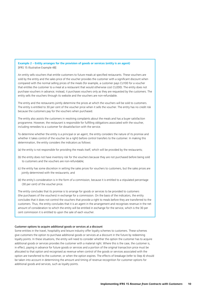## **Example 2 – Entity arranges for the provision of goods or services (entity is an agent)** [IFRS 15 Illustrative Example 48]

An entity sells vouchers that entitle customers to future meals at specified restaurants. These vouchers are sold by the entity and the sales price of the voucher provides the customer with a significant discount when compared with the normal selling prices of the meals (for example, a customer pays CU100 for a voucher that entitles the customer to a meal at a restaurant that would otherwise cost CU200). The entity does not purchase vouchers in advance; instead, it purchases vouchers only as they are requested by the customers. The entity sells the vouchers through its website and the vouchers are non-refundable.

The entity and the restaurants jointly determine the prices at which the vouchers will be sold to customers. The entity is entitled to 30 per cent of the voucher price when it sells the voucher. The entity has no credit risk because the customers pay for the vouchers when purchased.

The entity also assists the customers in resolving complaints about the meals and has a buyer satisfaction programme. However, the restaurant is responsible for fulfilling obligations associated with the voucher, including remedies to a customer for dissatisfaction with the service.

To determine whether the entity is a principal or an agent, the entity considers the nature of its promise and whether it takes control of the voucher (ie a right) before control transfers to the customer. In making this determination, the entity considers the indicators as follows:

- (a) the entity is not responsible for providing the meals itself, which will be provided by the restaurants;
- (b) the entity does not have inventory risk for the vouchers because they are not purchased before being sold to customers and the vouchers are non-refundable;
- (c) the entity has some discretion in setting the sales prices for vouchers to customers, but the sales prices are jointly determined with the restaurants; and
- (d) the entity's consideration is in the form of a commission, because it is entitled to a stipulated percentage (30 per cent) of the voucher price.

The entity concludes that its promise is to arrange for goods or services to be provided to customers (the purchasers of the vouchers) in exchange for a commission. On the basis of the indicators, the entity concludes that it does not control the vouchers that provide a right to meals before they are transferred to the customers. Thus, the entity concludes that it is an agent in the arrangement and recognises revenue in the net amount of consideration to which the entity will be entitled in exchange for the service, which is the 30 per cent commission it is entitled to upon the sale of each voucher.

## Customer options to acquire additional goods or services at a discount

Some entities in the travel, hospitality and leisure industry offer loyalty schemes to customers. These schemes give customers the option to purchase additional goods or services at a discount in the future by redeeming loyalty points. In these situations, the entity will need to consider whether the option the customer has to acquire additional goods or services provides the customer with a material right. Where this is the case, the customer is, in effect, paying in advance for future goods or services and a portion of the original transaction price must be allocated to that option and recognised as revenue when control of the goods or services associated with the option are transferred to the customer, or when the option expires. The effects of breakage (refer to Step 4) should be taken into account in determining the amount and timing of revenue recognition for customer options for additional goods and services, such as loyalty points.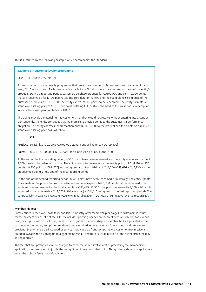This is illustrated by the following example which accompanies the Standard.

## **Example 3 – Customer loyalty programme**

[IFRS 15 Illustrative Example 52]

An entity has a customer loyalty programme that rewards a customer with one customer loyalty point for every CU10 of purchases. Each point is redeemable for a CU1 discount on any future purchases of the entity's products. During a reporting period, customers purchase products for CU100,000 and earn 10,000 points that are redeemable for future purchases. The consideration is fixed and the stand-alone selling price of the purchased products is CU100,000. The entity expects 9,500 points to be redeemed. The entity estimates a stand-alone selling price of CU0.95 per point (totalling CU9,500) on the basis of the likelihood of redemption in accordance with paragraph B42 of IFRS 15.

The points provide a material right to customers that they would not receive without entering into a contract. Consequently, the entity concludes that the promise to provide points to the customer is a performance obligation. The entity allocates the transaction price (CU100,000) to the product and the points on a relative stand-alone selling price basis as follows:

## CU

Product 91,324 [CU100,000 x (CU100,000 stand-alone selling price / CU109,500]

**Points** 8,676 [CU100,000 x (CU9,500 stand-alone selling price / CU109,500]

At the end of the first reporting period, 4,500 points have been redeemed and the entity continues to expect 9,500 points to be redeemed in total. The entity recognises revenue for the loyalty points of CU4,110 [(4,500 points ÷ 9,500 points) × CU8,676] and recognises a contract liability of CU4,566 (CU8,676 – CU4,110) for the unredeemed points at the end of the first reporting period.

At the end of the second reporting period, 8,500 points have been redeemed cumulatively. The entity updates its estimate of the points that will be redeemed and now expects that 9,700 points will be redeemed. The entity recognises revenue for the loyalty points of CU3,493 {[(8,500 total points redeemed ÷ 9,700 total points expected to be redeemed) × CU8,676 initial allocation] – CU4,110 recognised in the first reporting period}. The contract liability balance is CU1,073 (CU8,676 initial allocation – CU7,603 of cumulative revenue recognised).

#### Membership fees

Some entities in the travel, hospitality and leisure industry offer membership packages to customers in return for the payment of an upfront fee. IFRS 15 includes specific guidance on the treatment of such fees for revenue recognition purposes. In particular, unless distinct goods or services (beyond membership) are provided to the customer at the outset, an upfront fee should be recognised as revenue when future goods and services are provided. Even where a distinct good or service is provided up front (for example, a customer may receive a branded sweatshirt on signing up to a gym membership), deferral of a large portion of the membership fee may still be required.

The fact that an upfront fee may be charged to cover the administrative cost of processing the membership application is not sufficient to justify the recognition of revenue at that point. This guidance should be applied even when the upfront fee is non-refundable.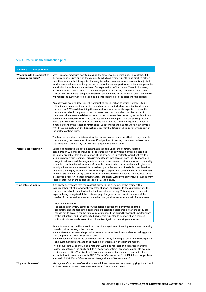## **Step 3. Determine the transaction price**

| <b>Summary of the requirements</b>                |                                                                                                                                                                                                                                                                                                                                                                                                                                                                                                                                                                                                                                                                                                                                                                                                                                                                                                                                                                                                                                                |
|---------------------------------------------------|------------------------------------------------------------------------------------------------------------------------------------------------------------------------------------------------------------------------------------------------------------------------------------------------------------------------------------------------------------------------------------------------------------------------------------------------------------------------------------------------------------------------------------------------------------------------------------------------------------------------------------------------------------------------------------------------------------------------------------------------------------------------------------------------------------------------------------------------------------------------------------------------------------------------------------------------------------------------------------------------------------------------------------------------|
| What impacts the amount of<br>revenue recognised? | Step 3 is concerned with how to measure the total revenue arising under a contract. IFRS<br>15 typically bases revenue on the amount to which an entity expects to be entitled rather<br>than the amounts that it expects ultimately to collect. In other words, revenue is adjusted<br>for discounts, rebates, credits, price concessions, incentives, performance bonuses, penalties<br>and similar items, but it is not reduced for expectations of bad debts. There is, however,<br>an exception for transactions that include a significant financing component. For these<br>transactions, revenue is recognised based on the fair value of the amount receivable, which<br>will reflect the customer's credit risk as it is incorporated into the discount rate applied.                                                                                                                                                                                                                                                                |
|                                                   | An entity will need to determine the amount of consideration to which it expects to be<br>entitled in exchange for the promised goods or services (including both fixed and variable<br>consideration). When determining the amount to which the entity expects to be entitled,<br>consideration should be given to past business practices, published policies or specific<br>statements that create a valid expectation in the customer that the entity will only enforce<br>payment of a portion of the stated contract price. For example, if past business practices<br>with a particular customer demonstrate that the entity typically only requires payment of<br>ninety per cent of the stated contract price (i.e. it forgives the balance), for a new contract<br>with the same customer, the transaction price may be determined to be ninety per cent of<br>the stated contract price.                                                                                                                                            |
|                                                   | The key considerations in determining the transaction price are the effects of any variable<br>consideration, the time value of money (if a significant financing component exists), non-<br>cash consideration and any consideration payable to the customer.                                                                                                                                                                                                                                                                                                                                                                                                                                                                                                                                                                                                                                                                                                                                                                                 |
| <b>Variable consideration</b>                     | Variable consideration is any amount that is variable under the contract. Variable<br>consideration will only be included in the transaction price when an entity expects it to<br>be 'highly probable' that the resolution of the associated uncertainty would not result in<br>a significant revenue reversal. This assessment takes into account both the likelihood of a<br>change in estimate and the magnitude of any revenue reversal that would result. If an entity<br>is unable to include its full estimate of variable consideration, because that could give rise<br>to a significant revenue reversal, it should recognise the amount of variable consideration<br>that would be highly probable of not resulting in a significant revenue reversal. An exception<br>to this exists when an entity earns sales or usage based royalty revenue from licences of its<br>intellectual property. In these circumstances, the entity would typically include revenue from<br>these licences when the subsequent sale or usage occurs. |
| Time value of money                               | If an entity determines that the contract provides the customer or the entity with a<br>significant benefit of financing the transfer of goods or services to the customer, then the<br>consideration should be adjusted for the time value of money. This may lead to interest<br>expense being recognised if the customer pays for goods or services in advance of the<br>transfer of control and interest income when the goods or services are paid for in arrears.                                                                                                                                                                                                                                                                                                                                                                                                                                                                                                                                                                        |
|                                                   | <b>Practical expedient</b><br>For contracts in which, at inception, the period between the performance of the<br>obligations and the associated payment is expected to be less than a year, the entity can<br>choose not to account for the time value of money. If the period between the performance<br>of the obligations and the associated payment is expected to be more than a year, an<br>entity will always needs to consider if there is a significant financing component.                                                                                                                                                                                                                                                                                                                                                                                                                                                                                                                                                          |
|                                                   | When determining whether a contract contains a significant financing component, an entity<br>should consider, among other factors:<br>• the difference between the promised amount of consideration and the cash selling price<br>of the promised goods or services; and<br>• the combined effect of the period between an entity fulfilling its performance obligations<br>and customer payment, and the prevailing interest rate in the relevant market.                                                                                                                                                                                                                                                                                                                                                                                                                                                                                                                                                                                     |
|                                                   | The discount rate used should be a rate that would be reflected in a separate financing<br>transaction between the entity and its customer at contract inception, taking into account<br>credit characteristics. The significant financing component arising on a contract will be<br>accounted for in accordance with IFRS 9 Financial Instruments (or, if IFRS 9 has not yet been<br>adopted, IAS 39 Financial Instruments: Recognition and Measurement).                                                                                                                                                                                                                                                                                                                                                                                                                                                                                                                                                                                    |
| Why does it matter?                               | Management's estimate of consideration will have consequences when applying Steps 4 and<br>5 of the revenue model. These are discussed in further detail below.                                                                                                                                                                                                                                                                                                                                                                                                                                                                                                                                                                                                                                                                                                                                                                                                                                                                                |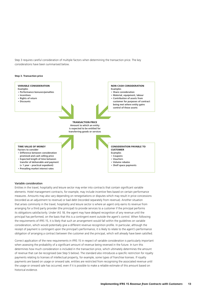Step 3 requires careful consideration of multiple factors when determining the transaction price. The key considerations have been summarised below.

#### **Step 3. Transaction price**



## Variable consideration

Entities in the travel, hospitality and leisure sector may enter into contracts that contain significant variable elements. Hotel management contracts, for example, may include incentive fees based on certain performance measures. Amounts may also vary depending on renegotiations or disputes which may result in price concessions (recorded as an adjustment to revenue) or bad debt (recorded separately from revenue). Another situation that arises commonly in the travel, hospitality and leisure sector is where an agent only earns its revenue from arranging for a third party provider (the principal) to provide services to a customer if the principal performs its obligations satisfactorily. Under IAS 18, the agent may have delayed recognition of any revenue until the principal has performed, on the basis that this is a contingent event outside the agent's control. When following the requirements of IFRS 15, it is likely that such an arrangement would fall within the guidelines on variable consideration, which would potentially give a different revenue recognition profile. In particular, although the receipt of payment is contingent upon the principal's performance, it is likely to relate to the agent's performance obligation of arranging a contract between the customer and the principal, which will already have been satisfied.

Correct application of the new requirements in IFRS 15 in respect of variable consideration is particularly important when assessing the probability of a significant amount of revenue being reversed in the future. In turn this determines how much consideration is included in the transaction price, which ultimately determines the amount of revenue that can be recognised (see Step 5 below). The standard also introduces a specific restriction for royalty payments relating to licenses of intellectual property, for example, some types of franchise licenses. If royalty payments are based on usage or onward sale, entities are restricted from recognising the associated revenue until the usage or onward sale has occurred, even if it is possible to make a reliable estimate of this amount based on historical evidence.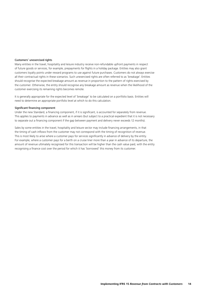## Customers' unexercised rights

Many entities in the travel, hospitality and leisure industry receive non-refundable upfront payments in respect of future goods or services, for example, prepayments for flights in a holiday package. Entities may also grant customers loyalty points under reward programs to use against future purchases. Customers do not always exercise all their contractual rights in these scenarios. Such unexercised rights are often referred to as 'breakage'. Entities should recognise the expected breakage amount as revenue in proportion to the pattern of rights exercised by the customer. Otherwise, the entity should recognise any breakage amount as revenue when the likelihood of the customer exercising its remaining rights becomes remote.

It is generally appropriate for the expected level of 'breakage' to be calculated on a portfolio basis. Entities will need to determine an appropriate portfolio level at which to do this calculation.

## Significant financing component

Under the new Standard, a financing component, if it is significant, is accounted for separately from revenue. This applies to payments in advance as well as in arrears (but subject to a practical expedient that it is not necessary to separate out a financing component if the gap between payment and delivery never exceeds 12 months).

Sales by some entities in the travel, hospitality and leisure sector may include financing arrangements, in that the timing of cash inflows from the customer may not correspond with the timing of recognition of revenue. This is most likely to arise where a customer pays for services significantly in advance of delivery by the entity. For example, where a customer pays for a berth on a cruise liner more than a year in advance of its departure, the amount of revenue ultimately recognised for this transaction will be higher than the cash value paid, with the entity recognising a finance cost over the period for which it has 'borrowed' this money from its customer.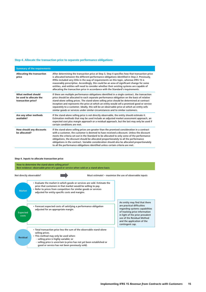## **Step 4. Allocate the transaction price to separate performance obligations**

| <b>Summary of the requirements</b>                                  |                                                                                                                                                                                                                                                                                                                                                                                                                                                                                                                                                                              |
|---------------------------------------------------------------------|------------------------------------------------------------------------------------------------------------------------------------------------------------------------------------------------------------------------------------------------------------------------------------------------------------------------------------------------------------------------------------------------------------------------------------------------------------------------------------------------------------------------------------------------------------------------------|
| <b>Allocating the transaction</b><br>price                          | After determining the transaction price at Step 3, Step 4 specifies how that transaction price<br>is allocated between the different performance obligations identified in Step 2. Previously,<br>IFRSs included very little in the way of requirements on this topic, whereas IFRS 15 is<br>reasonably prescriptive. Accordingly, this could be an area of significant change for some<br>entities, and entities will need to consider whether their existing systems are capable of<br>allocating the transaction price in accordance with the Standard's requirements.    |
| What method should<br>be used to allocate the<br>transaction price? | If there are multiple performance obligations identified in a single contract, the transaction<br>price should be allocated to each separate performance obligation on the basis of relative<br>stand-alone selling prices. The stand-alone selling price should be determined at contract<br>inception and represents the price at which an entity would sell a promised good or service<br>separately to a customer. Ideally, this will be an observable price at which an entity sells<br>similar goods or services under similar circumstances and to similar customers. |
| Are any other methods<br>available?                                 | If the stand-alone selling price is not directly observable, the entity should estimate it.<br>Estimation methods that may be used include an adjusted market assessment approach, an<br>expected cost plus margin approach or a residual approach, but the last may only be used if<br>certain conditions are met.                                                                                                                                                                                                                                                          |
| How should any discounts<br>he allocated?                           | If the stand-alone selling prices are greater than the promised consideration in a contract<br>with a customer, the customer is deemed to have received a discount. Unless the discount<br>meets the criteria set out in the Standard to be allocated to only some of the performance<br>obligations, the discount should be allocated proportionately to all the performance<br>obligations in the contract. Variable consideration should also be allocated proportionately<br>to all the performance obligations identified unless certain criteria are met.              |

## **Step 4. Inputs to allocate transaction price**

|                          | How to determine the stand-alone selling price?<br>Best evidence: observable price of a good or service when sold on a stand-alone basis                                                                                                                                                             |                                                                                                                                                                                                                                                  |
|--------------------------|------------------------------------------------------------------------------------------------------------------------------------------------------------------------------------------------------------------------------------------------------------------------------------------------------|--------------------------------------------------------------------------------------------------------------------------------------------------------------------------------------------------------------------------------------------------|
| Not directly observable? |                                                                                                                                                                                                                                                                                                      | Must estimate! - maximise the use of observable inputs                                                                                                                                                                                           |
| <b>Market</b>            | . Evaluate the market in which goods or services are sold. Estimate the<br>price that customers in that market would be willing to pay.<br>• Refer to prices from competitors for similar goods or services<br>adjusted for entity-specific costs and margins.                                       |                                                                                                                                                                                                                                                  |
| <b>Expected</b><br>costs | • Forecast expected costs of satisfying a performance obligation<br>adjusted for an appropriate margin.                                                                                                                                                                                              | An entity may find that there<br>are practical difficulties<br>regarding systems capabilities<br>of tracking price information<br>in light of the prior prevalent<br>use of the Residual Method<br>and the application of the<br>contingent cap. |
| <b>Residual</b>          | • Total transaction price less the sum of the observable stand-alone<br>selling prices.<br>• This method may only be used when:<br>- selling price is highly variable; or<br>- selling price is uncertain (a price has not yet been established or<br>good or service has not been previously sold). |                                                                                                                                                                                                                                                  |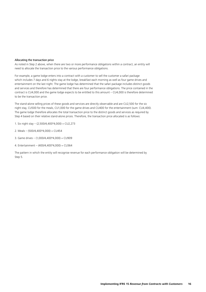## Allocating the transaction price

As noted in Step 2 above, when there are two or more performance obligations within a contract, an entity will need to allocate the transaction price to the various performance obligations.

For example, a game lodge enters into a contract with a customer to sell the customer a safari package which includes 7 days and 6 nights stay at the lodge, breakfast each morning as well as four game drives and entertainment on the last night. The game lodge has determined that the safari package includes distinct goods and services and therefore has determined that there are four performance obligations. The price contained in the contract is CU4,000 and the game lodge expects to be entitled to this amount – CU4,000 is therefore determined to be the transaction price.

The stand-alone selling prices of these goods and services are directly observable and are CU2,500 for the six night stay, CU500 for the meals, CU1,000 for the game drives and CU400 for the entertainment (sum: CU4,400). The game lodge therefore allocates the total transaction price to the distinct goods and services as required by Step 4 based on their relative stand-alone prices. Therefore, the transaction price allocated is as follows:

- 1. Six night stay  $-$  (2,500/4,400\*4,000) = CU2,273
- 2. Meals  $(500/4, 400*4, 000) = CU454$
- 3. Game drives  $(1,000/4,400*4,000) =$  CU909
- 4. Entertainment (400/4,400\*4,000) = CU364

The pattern in which the entity will recognise revenue for each performance obligation will be determined by Step 5.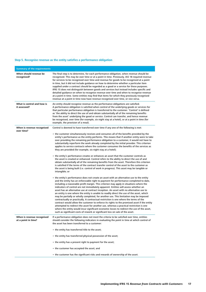## **Step 5. Recognise revenue as the entity satisfies a performance obligation**

| <b>Summary of the requirements</b>         |                                                                                                                                                                                                                                                                                                                                                                                                                                                                                                                                                                                                                                                                                                                                                                                                                                                                                                                                                                                                                                                                                                                        |
|--------------------------------------------|------------------------------------------------------------------------------------------------------------------------------------------------------------------------------------------------------------------------------------------------------------------------------------------------------------------------------------------------------------------------------------------------------------------------------------------------------------------------------------------------------------------------------------------------------------------------------------------------------------------------------------------------------------------------------------------------------------------------------------------------------------------------------------------------------------------------------------------------------------------------------------------------------------------------------------------------------------------------------------------------------------------------------------------------------------------------------------------------------------------------|
| When should revenue be<br>recognised?      | The final step is to determine, for each performance obligation, when revenue should be<br>recognised. This may be over time or at a point in time. Previously, IAS 18 required revenue<br>for services to be recognised over time and revenue for goods to be recognised at a point<br>in time, but it did not include guidance on how to determine whether a particular item<br>supplied under a contract should be regarded as a good or a service for these purposes.<br>IFRS 15 does not distinguish between goods and services but instead includes specific and<br>detailed guidance on when to recognise revenue over time and when to recognise revenue<br>at a point in time. Some entities may find that items for which they previously recognised<br>revenue at a point in time now have revenue recognised over time, or vice versa.                                                                                                                                                                                                                                                                     |
| What is control and how is<br>it assessed? | An entity should recognise revenue as the performance obligations are satisfied.<br>A performance obligation is satisfied when control of the underlying goods or services for<br>that particular performance obligation is transferred to the customer. 'Control' is defined<br>as 'the ability to direct the use of and obtain substantially all of the remaining benefits<br>from the asset' underlying the good or service. Control can transfer, and hence revenue<br>be recognised, over time (for example, six night stay at a hotel), or at a point in time (for<br>example, the provision of a meal).                                                                                                                                                                                                                                                                                                                                                                                                                                                                                                         |
| When is revenue recognised<br>over time?   | Control is deemed to have transferred over time if any one of the following is met:                                                                                                                                                                                                                                                                                                                                                                                                                                                                                                                                                                                                                                                                                                                                                                                                                                                                                                                                                                                                                                    |
|                                            | • the customer simultaneously receives and consumes all of the benefits provided by the<br>entity's performance as the entity performs. This means that if another entity were to take<br>over providing the remaining performance obligation to a customer, it would not have to<br>substantially reperform the work already completed by the initial provider. This criterion<br>applies to service contracts where the customer consumes the benefits of the services as<br>they are provided (for example, six night stay at a hotel);<br>• the entity's performance creates or enhances an asset that the customer controls as<br>the asset is created or enhanced. Control refers to the ability to direct the use of and<br>obtain substantially all of the remaining benefits from the asset. Therefore this criterion                                                                                                                                                                                                                                                                                         |
|                                            | is satisfied if the terms of the contract transfer control of the asset to the customer as<br>the asset is being built (i.e. control of work in progress). This asset may be tangible or<br>intangible; or                                                                                                                                                                                                                                                                                                                                                                                                                                                                                                                                                                                                                                                                                                                                                                                                                                                                                                             |
|                                            | • the entity's performance does not create an asset with an alternative use to the entity<br>and the entity has an enforceable right to payment for performance completed to date,<br>including a reasonable profit margin. This criterion may apply in situations where the<br>indicators of control are not immediately apparent. Entities will assess whether an<br>asset has an alternative use at contract inception. An asset with no alternative use to<br>an entity is one where the entity is unable to readily direct the use of the asset, which<br>may be partially or wholly completed, for another use. This limitation may be imposed<br>contractually or practically. A contractual restriction is one where the terms of the<br>contract would allow the customer to enforce its rights to the promised asset if the entity<br>attempted to redirect the asset for another use, whereas a practical restriction is one<br>where the entity would incur significant economic losses to redirect the use of the asset,<br>such as significant costs of rework or significant loss on sale of the asset. |
| When is revenue recognised                 | If a performance obligation does not meet the criteria to be satisfied over time, entities                                                                                                                                                                                                                                                                                                                                                                                                                                                                                                                                                                                                                                                                                                                                                                                                                                                                                                                                                                                                                             |
| at a point in time?                        | should consider the following indicators in evaluating the point in time at which control of<br>the asset has been transferred to a customer:                                                                                                                                                                                                                                                                                                                                                                                                                                                                                                                                                                                                                                                                                                                                                                                                                                                                                                                                                                          |
|                                            | • the entity has transferred title to the asset;                                                                                                                                                                                                                                                                                                                                                                                                                                                                                                                                                                                                                                                                                                                                                                                                                                                                                                                                                                                                                                                                       |
|                                            | • the entity has transferred physical possession of the asset;                                                                                                                                                                                                                                                                                                                                                                                                                                                                                                                                                                                                                                                                                                                                                                                                                                                                                                                                                                                                                                                         |
|                                            | • the entity has a present right to payment for the asset;                                                                                                                                                                                                                                                                                                                                                                                                                                                                                                                                                                                                                                                                                                                                                                                                                                                                                                                                                                                                                                                             |
|                                            | • the customer has accepted the asset; and                                                                                                                                                                                                                                                                                                                                                                                                                                                                                                                                                                                                                                                                                                                                                                                                                                                                                                                                                                                                                                                                             |
|                                            | • the customer has the significant risks and rewards of ownership of the asset.                                                                                                                                                                                                                                                                                                                                                                                                                                                                                                                                                                                                                                                                                                                                                                                                                                                                                                                                                                                                                                        |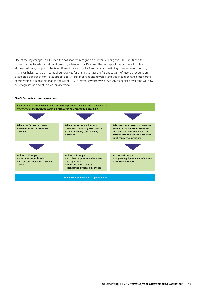One of the key changes in IFRS 15 is the basis for the recognition of revenue. For goods, IAS 18 utilised the concept of the transfer of risks and rewards, whereas IFRS 15 utilises the concept of the transfer of control in all cases. Although applying the two different concepts will often not alter the timing of revenue recognition, it is nevertheless possible in some circumstances for entities to have a different pattern of revenue recognition based on a transfer of control as opposed to a transfer of risks and rewards, and this should be taken into careful consideration. It is possible that as a result of IFRS 15, revenue which was previously recognised over time will now be recognised at a point in time, or vice versa.

#### **Step 5. Recognising revenue over time**

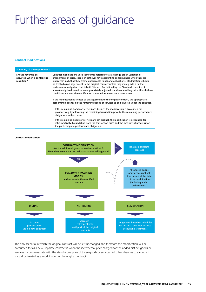# <span id="page-20-0"></span>Further areas of guidance

## **Contract modifications**

| <b>Summary of the requirements</b>                            |                                                                                                                                                                                                                                                                                                                                                                                                                                                                                                                                                                                                                                                                                                                                                                                                                                                                                                                                                                                                                                                                                                                                                                                                                                                 |                                                                                                                                 |
|---------------------------------------------------------------|-------------------------------------------------------------------------------------------------------------------------------------------------------------------------------------------------------------------------------------------------------------------------------------------------------------------------------------------------------------------------------------------------------------------------------------------------------------------------------------------------------------------------------------------------------------------------------------------------------------------------------------------------------------------------------------------------------------------------------------------------------------------------------------------------------------------------------------------------------------------------------------------------------------------------------------------------------------------------------------------------------------------------------------------------------------------------------------------------------------------------------------------------------------------------------------------------------------------------------------------------|---------------------------------------------------------------------------------------------------------------------------------|
| Should revenue be<br>adjusted when a contract is<br>modified? | Contract modifications (also sometimes referred to as a change order, variation or<br>amendment) of price, scope or both will have accounting consequences when they are<br>'approved' such that they create enforceable rights and obligations. Modifications should<br>be treated as an adjustment to the original contract unless they merely add a further<br>performance obligation that is both 'distinct' (as defined by the Standard - see Step 2<br>above) and priced based on an appropriately adjusted stand-alone selling price. If both these<br>conditions are met, the modification is treated as a new, separate contract.<br>If the modification is treated as an adjustment to the original contract, the appropriate<br>accounting depends on the remaining goods or services to be delivered under the contract.<br>• If the remaining goods or services are distinct, the modification is accounted for<br>prospectively by allocating the remaining transaction price to the remaining performance<br>obligations in the contract.<br>• If the remaining goods or services are not distinct, the modification is accounted for<br>retrospectively, by updating both the transaction price and the measure of progress for |                                                                                                                                 |
|                                                               | the part-complete performance obligation.                                                                                                                                                                                                                                                                                                                                                                                                                                                                                                                                                                                                                                                                                                                                                                                                                                                                                                                                                                                                                                                                                                                                                                                                       |                                                                                                                                 |
| <b>Contract modification</b>                                  | <b>CONTRACT MODIFICATION</b>                                                                                                                                                                                                                                                                                                                                                                                                                                                                                                                                                                                                                                                                                                                                                                                                                                                                                                                                                                                                                                                                                                                                                                                                                    | Treat as a separate                                                                                                             |
|                                                               | Are the additional goods or services distinct &<br>Have they been priced at their stand-alone selling price?                                                                                                                                                                                                                                                                                                                                                                                                                                                                                                                                                                                                                                                                                                                                                                                                                                                                                                                                                                                                                                                                                                                                    | Yes<br>contract                                                                                                                 |
|                                                               | <b>No</b>                                                                                                                                                                                                                                                                                                                                                                                                                                                                                                                                                                                                                                                                                                                                                                                                                                                                                                                                                                                                                                                                                                                                                                                                                                       |                                                                                                                                 |
|                                                               | <b>EVALUATE REMAINING</b><br><b>GOODS</b><br>and services in the modified<br>contract                                                                                                                                                                                                                                                                                                                                                                                                                                                                                                                                                                                                                                                                                                                                                                                                                                                                                                                                                                                                                                                                                                                                                           | "Promised goods<br>and services not yet<br>transferred at the date<br>of the modification<br>(including added<br>deliverables)" |
|                                                               |                                                                                                                                                                                                                                                                                                                                                                                                                                                                                                                                                                                                                                                                                                                                                                                                                                                                                                                                                                                                                                                                                                                                                                                                                                                 |                                                                                                                                 |
| <b>DISTINCT</b>                                               | <b>NOT DISTINCT</b>                                                                                                                                                                                                                                                                                                                                                                                                                                                                                                                                                                                                                                                                                                                                                                                                                                                                                                                                                                                                                                                                                                                                                                                                                             | <b>COMBINATION</b>                                                                                                              |
|                                                               |                                                                                                                                                                                                                                                                                                                                                                                                                                                                                                                                                                                                                                                                                                                                                                                                                                                                                                                                                                                                                                                                                                                                                                                                                                                 |                                                                                                                                 |
| <b>Account</b><br>prospectively<br>(as if a new contract)     | <b>Account</b><br>retrospectively<br>(as if part of the original<br>contract)                                                                                                                                                                                                                                                                                                                                                                                                                                                                                                                                                                                                                                                                                                                                                                                                                                                                                                                                                                                                                                                                                                                                                                   | Judgement based on principles<br>for 'distinct' and 'not distinct'<br>accounting treatments                                     |

The only scenario in which the original contract will be left unchanged and therefore the modification will be accounted for as a new, separate contract is when the incremental price charged for the added distinct goods or services is commensurate with the stand-alone price of those goods or services. All other changes to a contract should be treated as a modification of the original contract.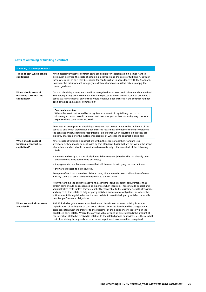## **Costs of obtaining or fulfilling a contract**

| <b>Summary of the requirements</b>                               |                                                                                                                                                                                                                                                                                                                                                                                                                                                                                                                                                                    |
|------------------------------------------------------------------|--------------------------------------------------------------------------------------------------------------------------------------------------------------------------------------------------------------------------------------------------------------------------------------------------------------------------------------------------------------------------------------------------------------------------------------------------------------------------------------------------------------------------------------------------------------------|
| Types of cost which can be<br>capitalised                        | When assessing whether contract costs are eligible for capitalisation it is important to<br>distinguish between the costs of obtaining a contract and the costs of fulfilling it. Both of<br>these categories of cost may be eligible for capitalisation in accordance with the Standard.<br>However, the rules for each category are different and care must be taken to apply the<br>correct quidance.                                                                                                                                                           |
| When should costs of<br>obtaining a contract be<br>capitalised?  | Costs of obtaining a contract should be recognised as an asset and subsequently amortised<br>(see below) if they are incremental and are expected to be recovered. Costs of obtaining a<br>contract are incremental only if they would not have been incurred if the contract had not<br>been obtained (e.g. a sales commission).                                                                                                                                                                                                                                  |
|                                                                  | <b>Practical expedient</b><br>Where the asset that would be recognised as a result of capitalising the cost of<br>obtaining a contract would be amortised over one year or less, an entity may choose to<br>expense those costs when incurred.                                                                                                                                                                                                                                                                                                                     |
|                                                                  | Any costs incurred prior to obtaining a contract that do not relate to the fulfilment of the<br>contract, and which would have been incurred regardless of whether the entity obtained<br>the contract or not, should be recognised as an expense when incurred, unless they are<br>explicitly chargeable to the customer regardless of whether the contract is obtained.                                                                                                                                                                                          |
| When should costs of<br>fulfilling a contract be<br>capitalised? | Where costs of fulfilling a contract are within the scope of another standard (e.g.<br>inventories), they should be dealt with by that standard. Costs that are not within the scope<br>of another standard should be capitalised as assets only if they meet all of the following<br>criteria:                                                                                                                                                                                                                                                                    |
|                                                                  | • they relate directly to a specifically identifiable contract (whether this has already been<br>obtained or is anticipated to be obtained);                                                                                                                                                                                                                                                                                                                                                                                                                       |
|                                                                  | • they generate or enhance resources that will be used in satisfying the contract; and                                                                                                                                                                                                                                                                                                                                                                                                                                                                             |
|                                                                  | • they are expected to be recovered.                                                                                                                                                                                                                                                                                                                                                                                                                                                                                                                               |
|                                                                  | Examples of such costs are direct labour costs, direct materials costs, allocations of costs<br>and any costs that are explicitly chargeable to the customer.                                                                                                                                                                                                                                                                                                                                                                                                      |
|                                                                  | Notwithstanding the guidance above, the Standard includes specific requirements that<br>certain costs should be recognised as expenses when incurred. These include general and<br>administrative costs (unless they are explicitly chargeable to the customer), costs of wastage<br>and any costs that relate to fully or partly satisfied performance obligations or where the<br>entity cannot distinguish whether the costs relate to unsatisfied, partly satisfied or wholly<br>satisfied performance obligations.                                            |
| When are capitalised costs<br>amortised?                         | IFRS 15 includes guidance on amortisation and impairment of assets arising from the<br>capitalisation of both types of cost noted above. Amortisation should be charged on a<br>basis consistent with the transfer to the customer of the goods or services to which the<br>capitalised costs relate. Where the carrying value of such an asset exceeds the amount of<br>consideration still to be received in relation to the related goods or services, less the residual<br>cost of providing those goods or services, an impairment loss should be recognised. |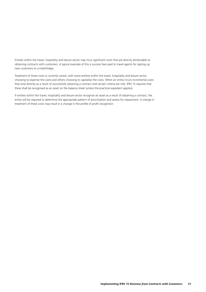Entities within the travel, hospitality and leisure sector may incur significant costs that are directly attributable to obtaining contracts with customers. A typical example of this is success fees paid to travel agents for signing up new customers to a hotel/lodge.

Treatment of these costs is currently varied, with some entities within the travel, hospitality and leisure sector choosing to expense the costs and others choosing to capitalise the costs. When an entity incurs incremental costs that arise directly as a result of successfully obtaining a contract and certain criteria are met, IFRS 15 requires that these shall be recognised as an asset on the balance sheet (unless the practical expedient applies).

If entities within the travel, hospitality and leisure sector recognise an asset as a result of obtaining a contract, the entity will be required to determine the appropriate pattern of amortisation and assess for impairment. A change in treatment of these costs may result in a change in the profile of profit recognition.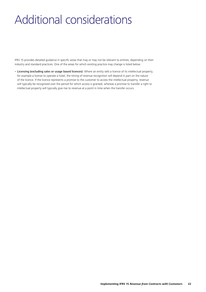## <span id="page-23-0"></span>Additional considerations

IFRS 15 provides detailed guidance in specific areas that may or may not be relevant to entities, depending on their industry and standard practices. One of the areas for which existing practice may change is listed below.

• Licensing (excluding sales or usage based licences): Where an entity sells a licence of its intellectual property, for example a license to operate a hotel, the timing of revenue recognition will depend in part on the nature of the licence. If the licence represents a promise to the customer to access the intellectual property, revenue will typically be recognised over the period for which access is granted, whereas a promise to transfer a right to intellectual property will typically give rise to revenue at a point in time when the transfer occurs.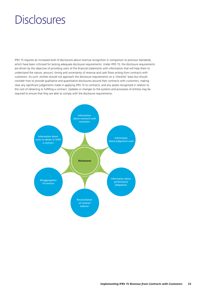## <span id="page-24-0"></span>**Disclosures**

IFRS 15 requires an increased level of disclosures about revenue recognition in comparison to previous Standards, which have been criticised for lacking adequate disclosure requirements. Under IFRS 15, the disclosure requirements are driven by the objective of providing users of the financial statements with information that will help them to understand the nature, amount, timing and uncertainty of revenue and cash flows arising from contracts with customers. As such, entities should not approach the disclosure requirements on a 'checklist' basis but should consider how to provide qualitative and quantitative disclosures around their contracts with customers, making clear any significant judgements made in applying IFRS 15 to contracts, and any assets recognised in relation to the cost of obtaining or fulfilling a contract. Updates or changes to the systems and processes of entities may be required to ensure that they are able to comply with the disclosure requirements.

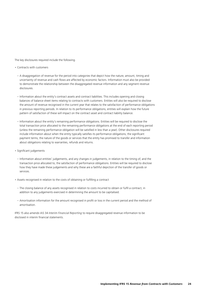The key disclosures required include the following.

- Contracts with customers
- A disaggregation of revenue for the period into categories that depict how the nature, amount, timing and uncertainty of revenue and cash flows are affected by economic factors. Information must also be provided to demonstrate the relationship between the disaggregated revenue information and any segment revenue disclosures.
- Information about the entity's contract assets and contract liabilities. This includes opening and closing balances of balance sheet items relating to contracts with customers. Entities will also be required to disclose the amount of revenue recognised in the current year that relates to the satisfaction of performance obligations in previous reporting periods. In relation to its performance obligations, entities will explain how the future pattern of satisfaction of these will impact on the contract asset and contract liability balance.
- Information about the entity's remaining performance obligations. Entities will be required to disclose the total transaction price allocated to the remaining performance obligations at the end of each reporting period (unless the remaining performance obligation will be satisfied in less than a year). Other disclosures required include information about when the entity typically satisfies its performance obligations, the significant payment terms, the nature of the goods or services that the entity has promised to transfer and information about obligations relating to warranties, refunds and returns.
- Significant judgements
- Information about entities' judgements, and any changes in judgements, in relation to the timing of, and the transaction price allocated to, the satisfaction of performance obligations. Entities will be required to disclose how they have made these judgements and why these are a faithful depiction of the transfer of goods or services.
- Assets recognised in relation to the costs of obtaining or fulfilling a contract
	- The closing balance of any assets recognised in relation to costs incurred to obtain or fulfil a contract, in addition to any judgements exercised in determining the amount to be capitalised.
- Amortisation information for the amount recognised in profit or loss in the current period and the method of amortisation.

IFRS 15 also amends IAS 34 *Interim Financial Reporting* to require disaggregated revenue information to be disclosed in interim financial statements.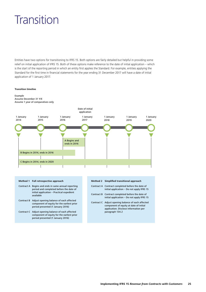## <span id="page-26-0"></span>**Transition**

Entities have two options for transitioning to IFRS 15. Both options are fairly detailed but helpful in providing some relief on initial application of IFRS 15. Both of these options make reference to the date of initial application – which is the start of the reporting period in which an entity first applies the Standard. For example, entities applying the Standard for the first time in financial statements for the year ending 31 December 2017 will have a date of initial application of 1 January 2017.

## **Transition timeline**

#### Example Assume December 31 Y/E Assume 1 year of comparatives only



|  | Method 1 Full retrospective approach |  |
|--|--------------------------------------|--|
|--|--------------------------------------|--|

| Contract A Begins and ends in same annual reporting<br>period and completed before the date of<br>initial application - Practical expedient<br>available |
|----------------------------------------------------------------------------------------------------------------------------------------------------------|
| Contract B Adjust opening balance of each affected<br>component of equity for the earliest prior<br>period presented (1 January 2016)                    |

Contract C Adjust opening balance of each affected component of equity for the earliest prior period presented (1 January 2016)

### **Method 2 Simplified transitional approach**

| Contract A Contract completed before the date of<br>initial application - Do not apply IFRS 15                                                           |
|----------------------------------------------------------------------------------------------------------------------------------------------------------|
| Contract B Contract completed before the date of<br>initial application - Do not apply IFRS 15                                                           |
| Contract C Adjust opening balance of each affected<br>component of equity at date of initial<br>application. Disclose information per<br>paragraph 134.2 |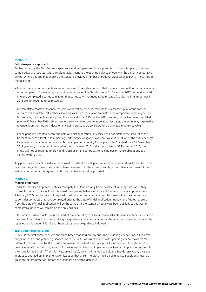### **Method 1**

## Full retrospective approach

Entities can apply the Standard retrospectively to all comparative periods presented. Under this option, prior year comparatives are restated, with a resulting adjustment to the opening balance of equity in the earliest comparative period. Where this option is chosen, the Standard provides a number of optional practical expedients. These include the following.

- For completed contracts, entities are not required to restate contracts that begin and end within the same annual reporting period. For example, if an entity first applying the Standard for a 31 December 2017 year end entered into and completed a contract in 2016, that contract will not need to be restated (that is, the interim periods in 2016 are not required to be restated).
- For completed contracts that have variable consideration, an entity may use the transaction price at the date the contract was completed rather than estimating variable consideration amounts in the comparative reporting periods. For example, for an entity first applying the Standard for a 31 December 2017 year end, if a contract was completed prior to 31 December 2016, rather than estimate variable consideration at earlier dates, the entity may base earlier revenue figures on the consideration (including any variable consideration) that was ultimately payable.
- For all periods presented before the date of initial application, an entity need not disclose the amount of the transaction price allocated to remaining performance obligations and an explanation of when the entity expects to recognise that amount as revenue. For example, for an entity first applying the Standard for a 31 December 2017 year end, if a contract is entered into on 1 January 2016 and is incomplete at 31 December 2016, the entity will not be required to provide disclosures on the contract's remaining performance obligations as at 31 December 2016.

Any practical expedients used should be used consistently for all prior periods presented and disclosure should be given with regards to which expedients have been used. To the extent possible, a qualitative assessment of the estimated effect of applying each of those expedients should be provided.

## **Method 2**

### Modified approach

Under the modified approach, entities can apply the Standard only from the date of initial application. If they choose this option, they will need to adjust the opening balance of equity at the date of initial application (i.e. 1 January 2017) but they are not required to adjust prior year comparatives. This means that they do not need to consider contracts that have completed prior to the date of initial application. Broadly, the figures reported from the date of initial application will be the same as if the Standard had always been applied, but figures for comparative periods will remain on the previous basis.

If this option is used, disclosure is required of the amount by which each financial statement line item is affected in the current period as a result of applying the guidance and an explanation of the significant changes between the reported results under IFRS 15 and the previous revenue guidance followed.

## **Transition Resource Group**

IFRS 15 is the first comprehensive principles-based Standard on revenue. The previous guidance under IFRSs was fairly limited, and the previous guidance under US GAAP was rules-driven, with specific guidance available for different industries. The IASB and FASB are aware that, whilst they have put a lot of time and thought into the development of the Standard, issues will arise as entities begin to implement the Standard in practice. As a result, they have formed a joint "Transition Resource Group", which is intended to help the Boards resolve any diversity in practice and address implementation issues as they arise. Therefore, the Boards may issue additional revenue guidance or interpretations before the Standard's effective date in 2017.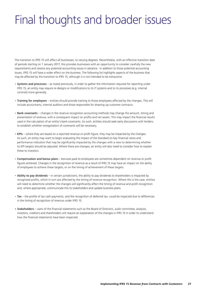## <span id="page-28-0"></span>Final thoughts and broader issues

The transition to IFRS 15 will affect all businesses, to varying degrees. Nevertheless, with an effective transition date of periods starting on 1 January 2017, this provides businesses with an opportunity to consider carefully the new requirements and resolve any potential accounting issues in advance. In addition to those potential accounting issues, IFRS 15 will have a wider effect on the business. The following list highlights aspects of the business that may be affected by the transition to IFRS 15, although it is not intended to be exhaustive.

- Systems and processes as noted previously, in order to gather the information required for reporting under IFRS 15, an entity may require re-designs or modifications to its IT systems and to its processes (e.g. internal controls) more generally.
- Training for employees entities should provide training to those employees affected by the changes. This will include accountants, internal auditors and those responsible for drawing up customer contracts.
- Bank covenants changes in the revenue recognition accounting methods may change the amount, timing and presentation of revenue, with a consequent impact on profits and net assets. This may impact the financial results used in the calculation of an entity's bank covenants. As such, entities should seek early discussions with lenders, to establish whether renegotiation of covenants will be necessary.
- KPIs where they are based on a reported revenue or profit figure, they may be impacted by the changes. As such, an entity may want to begin evaluating the impact of the Standard on key financial ratios and performance indicators that may be significantly impacted by the changes with a view to determining whether its KPI targets should be adjusted. Where there are changes, an entity will also need to consider how to explain these to investors.
- Compensation and bonus plans bonuses paid to employees are sometimes dependent on revenue or profit figures achieved. Changes in the recognition of revenue as a result of IFRS 15 may have an impact on the ability of employees to achieve these targets, or on the timing of achievement of these targets.
- Ability to pay dividends in certain jurisdictions, the ability to pay dividends to shareholders is impacted by recognised profits, which in turn are affected by the timing of revenue recognition. Where this is the case, entities will need to determine whether the changes will significantly affect the timing of revenue and profit recognition and, where appropriate, communicate this to stakeholders and update business plans.
- Tax the profile of tax cash payments, and the recognition of deferred tax, could be impacted due to differences in the timing of recognition of revenue under IFRS 15.
- Stakeholders users of the financial statements such as the Board of Directors, audit committee, analysts, investors, creditors and shareholders will require an explanation of the changes in IFRS 15 in order to understand how the financial statements have been impacted.